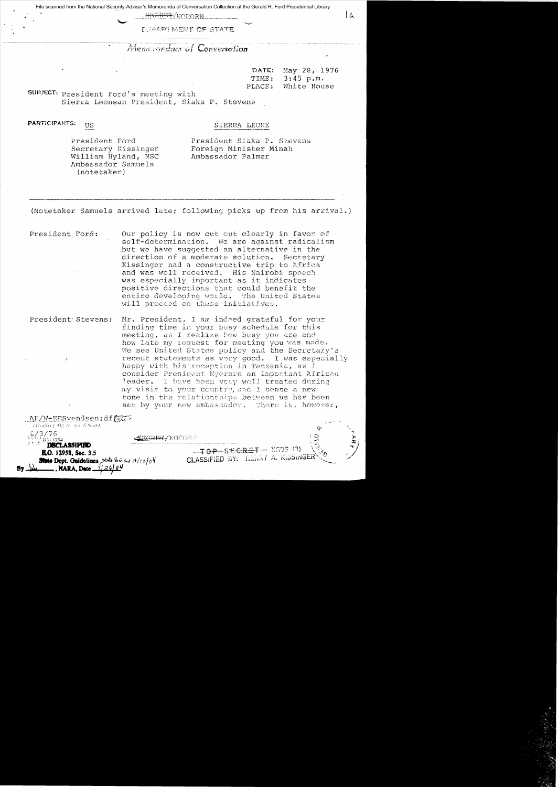File scanned from the National Security Adviser's Memoranda of Conversation Collection at the Gerald R. Ford Presidential Library

<del>RET</del>/NOFORN

DUPARTNENT OF STATE

## Approximation of Conversation

| DATE:              | May $28, 1976$ |  |
|--------------------|----------------|--|
| TIME:              | $3:45$ p.m.    |  |
| $\mathtt{PLACE}$ : | White House    |  |

 $\alpha$ 

SUBJECT: President Ford's meeting with Sierra Leonean President, Siaka P. Stevens

**PARTICIPANTS: US** 

## SIERRA LEONE

President Ford Secretary Kissinger William Hyland, NSC Ambassador Samuels (notetaker)

President Siaka P. Stevens Foreign Minister Minah Ambassador Palmer

(Notetaker Samuels arrived late; following picks up from his arrival.)

President Ford:

Our policy is now cut out clearly in favor of self-determination. We are against radicalism but we have suggested an alternative in the direction of a moderate solution. Secretary Kissinger had a constructive trip to Africa and was well received. His Nairobi speech was especially important as it indicates positive directions that could benefit the entire developing world. The United States will proceed on these initiatives.

Mr. President, I am indeed grateful for your President Stevens: finding time in your busy schedule for this meeting, as I realize how busy you are and how late my request for meeting you was made. We see United States policy and the Secretary's recent statements as very good. I was especially happy with his reception in Tanzania, as I consider President Nyerere an important African leader. I have been very well treated during my visit to your country, and I sense a new tone in the relationships between us has been set by your new ambassador. There is, however,

AF/W-EESvendsen:dff37 (Diafricz Office ma Officer)  $6/3/76$ - 1254 **DECLASSIFIED R.O. 12958, Sec. 3.5** 

\_\_\_\_, NARA, Date \_1

**State Dept. Guidelines**, State his case 3/12/04

B<del>CRBI</del>-/NOFORE

 $-70P-SECHET - X6DS (3)$ CLASSIFIED BY: HEARY A. KISSINGE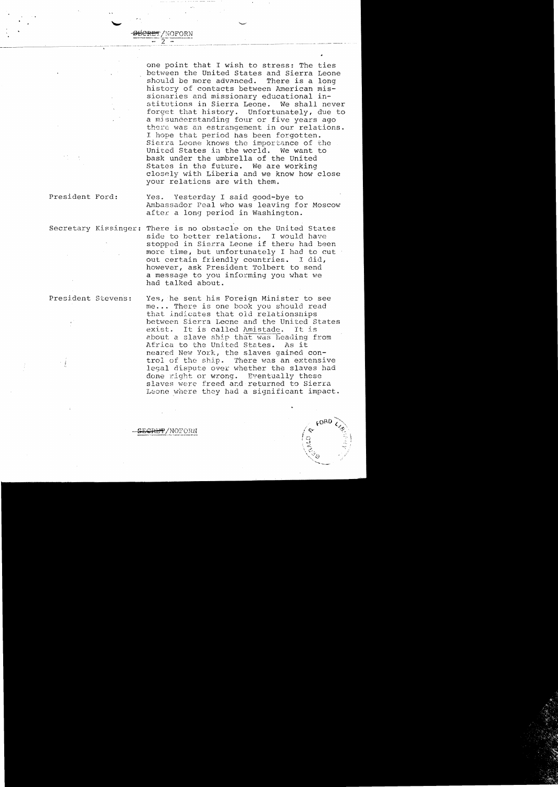one point that I wish to stress: The ties between the United States and Sierra Leone<br>should be more advanced. There is a long should be more advanced. history of contacts between American missionaries and missionary educational in-<br>stitutions in Sierra Leone. We shall never stitutions in Sierra Leone. We shall never<br>forget that history. Unfortunately, due to forget that history. a mjsunderstanding four or five years ago there was an estrangement in our relations. 1 hope that period has been forgotten. Sierra Leone knows the importance of the United States in the world. We want to United States in the world. bask under the umbrella of the united States in the future. We are working closely with Liberia and we know how close your relations are with them.

President Ford: Yes. Yesterday I said good-bye to Ambassador Peal who was leaving for Moscow after a long period in Washington.

Secretary Kissinger: There is no obstacle on the United States side to better relations. I would have stopped in Sierra Leone if there had been more time, but unfortunately I had to cut out certain friendly countries. I did, however, ask President Tolbert to send a message to you informing you what we had talked about.

NOFORN

President Stevens: Yes, he sent his Foreign Minister to see me... There is one book you should read that indicates that old relationships between Sierra Leone and the United States<br>exist. It is called Amistade. It is exist. It is called Amistade. about a slave ship that was heading from Africa to the United States. As it neared New York, the slaves gained control of the ship. There was an extensive legal dispute over whether the slaves had done right or wrong. Eventually these slaves were freed and returned to Sierra Leone where they had a significant impact.

<del>ET</del>/NOFORN

---~--'-~'--'"'-----"----"----'--"'-,;--- '--~------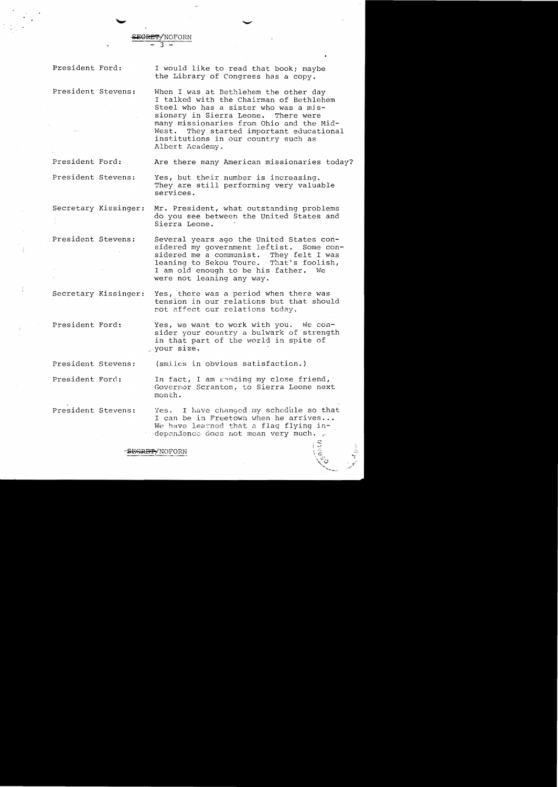President Ford:

I would like to read that book; maybe the Library of Congress has a copy.

President Stevens: When I was at Bethlehem the other day I talked with the Chairman of Bethlehem Steel who has a sister who was a mis-<br>sionary in Sierra Leone. There were sionary in Sierra Leone. many missionaries from Ohio and the Mid-West. They started important educational institutions in our country such as Albert Academy.

SE<del>CRET</del>/NOFORN - 3

President Ford: Are there many American missionaries today?

President Stevens: Yes, but their number is increasing. They are still performing very valuable services.

Secretary Kissinger: Mr. President, what outstanding problems do you see between the United States and Sierra Leone.

President Stevens: Several years ago the United States considered my government leftist. Some con-<br>sidered me a communist. They felt I was sidered me a communist. They felt I was<br>leaning to Sekou Toure. That's foolish. leaning to Sekou Toure. I am old enough to be his father. We were not leaning any way.

Secretary Kissinger: Yes, there was a period when there was tension in our relations but that should not affect our relations today.

President Ford: Yes, we want to work with you. We con sider your country a bulwark of strength in that part of the world in spite of ... your size.

President Stevens: (smiles in obvious satisfaction.)

President Ford: In fact, I am sending my close friend, Governor Scranton, to Sierra Leone next month.

President Stevens: Yes. I have changed my schedule so that I can be in Freetown when he arrives ... We have lea~ned that a flag flying in dependence does not mean very much.  $_{\rm c}$ 

**SEGRET**/NOFORN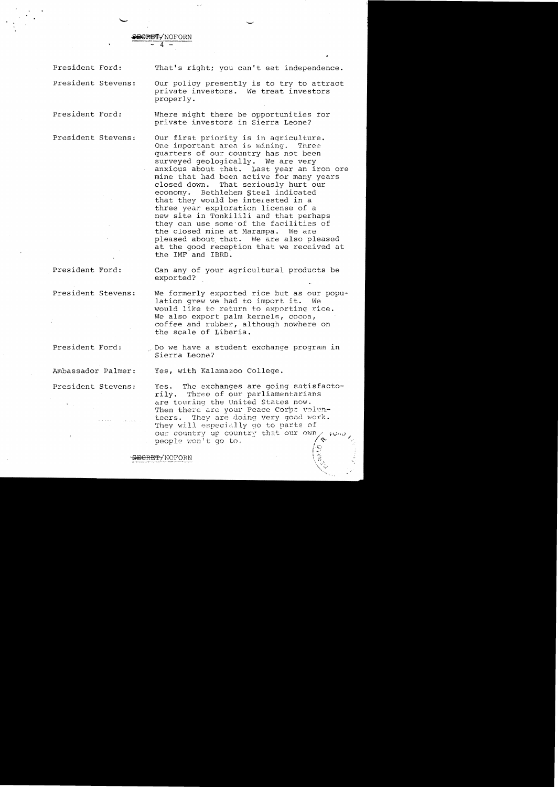**&BERET-**NOFORN  $\overline{4}$  -

properly.

President Ford:

That's right; you can't eat independence.

Our policy presently is to try to attract private investors. We treat investors

Where might there be opportunities for private investors in Sierra Leone?

President Stevens:

President Ford:

President Stevens:

Our first priority is in agriculture. One important area is mining. Three quarters of our country has not been surveyed geologically. We are very anxious about that. Last year an iron ore mine that had been active for many years closed down. That seriously hurt our economy. Bethlehem Steel indicated that they would be interested in a three year exploration license of a new site in Tonkilili and that perhaps they can use some"of the facilities of the closed mine at Marampa. We are pleased about that. We are also pleased at the good reception that we received at the IMF and IBRD.

President Ford:

President Stevens:

President Ford:

Ambassador Palmer:

President Stevens:

Can any of your agricultural products be exported?

We formerly exported rice but as our population grew we had to import it. We would like to return to exporting rice. We also export palm kernels, cocoa, coffee and rubber, although nowhere on the scale of Liberia.

Do we have a student exchange program in Sierra Leone?

Yes, with Kalamazoo College.

<del>CRET/</del>NOFORN

Yes. The exchanges are going satisfactorily. Three of our parliamentarians are touring the united States now. Then there are your Peace Corps volunteers. They are doing very good work. They will especially go to parts of our country up country that our people won't go to.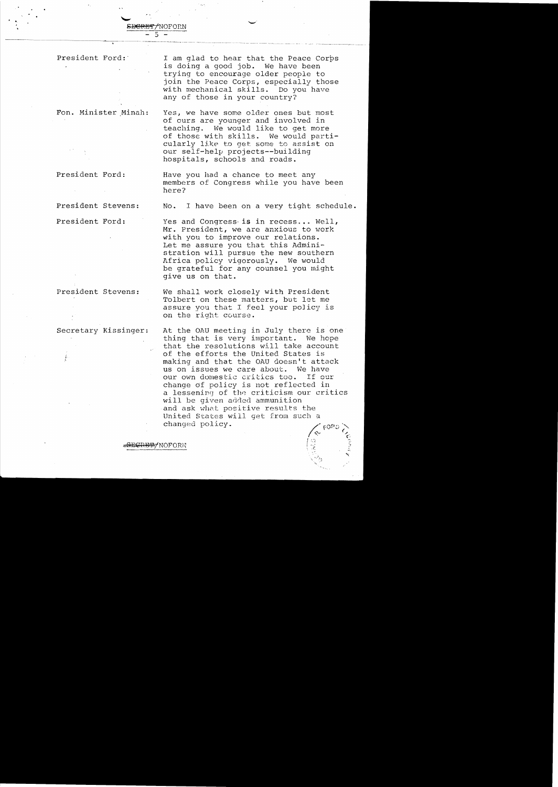President Ford:'

I am glad to hear that the Peace Corps is doing a good job. We have been trying to encourage older people to join the Peace Corps, especially those with mechanical skills. Do you have any of those in your country?

Yes, we have some older ones but most of curs are younger and involved in teaching. We would like to get more of those with skills. We would particularly like to get some to assist on

our self-help projects--building hospitals, schools and roads.

Fon. Minister Minah:

President Ford:

Have you had a chance to meet any members of Congress while you have been here?

Yes and Congress is in recess... Well, Mr. President, we are anxious to work with you to improve our relations. Let me assure you that this Administration will pursue the new southern Africa policy vigorously. We would be grateful for any counsel you might

President Stevens: No. I have been on a very tight schedule.

President Ford:

President Stevens:

secretary Kissinger:

We shall work closely with President Tolbert on these matters, but let me assure you that I feel your policy is on the right course.

give us on that.

At the OAU meeting in July there is one thing that is very important. We hope that the resolutions will take account of the efforts the United States is making and that the OAU doesn't attack us on issues we care about. We have our own domestic critics too. If cur change of policy is not reflected in a lessening of the criticism our critics will be given added ammunition and ask what positive results the united States will get from such a changed policy.

<del>-SECRET/</del>NOFORN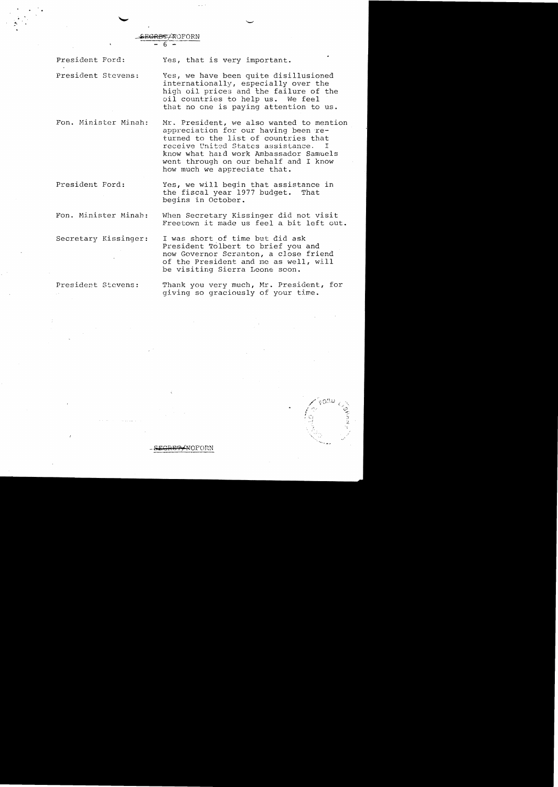SE<del>GRET</del> AOFORN

President Ford: Yes, that is very important.

President Stevens: Yes, we have been quite disillusioned internationally, especially over the high oil prices and the failure of the oil countries to help us. We feel that no one is paying attention to us.

Fan. Minister Minah:

Mr. President, we also wanted to mention appreciation for our having been returned to the list of countries that<br>receive United States assistance. I receive United States assistance. know what hard work Ambassador Samuels went through on our behalf and I know how much we appreciate that.

President Ford: Yes, we will begin that assistance in the fiscal year 1977 budget. That begins in October.

**EPAROFORN** 

Fon. Minister Minah: When Secretary Kissinger did not visit Freetown it made us feel a bit left out.

Secretary Kissinger: I was short of time but did ask President Tolbert to brief you and now Governor Scranton, a close friend of the President and me as well, will be visiting Sierra Leone soon.

President Stevens:

Thank you very much, Mr. President, for giving so graciously of your time.